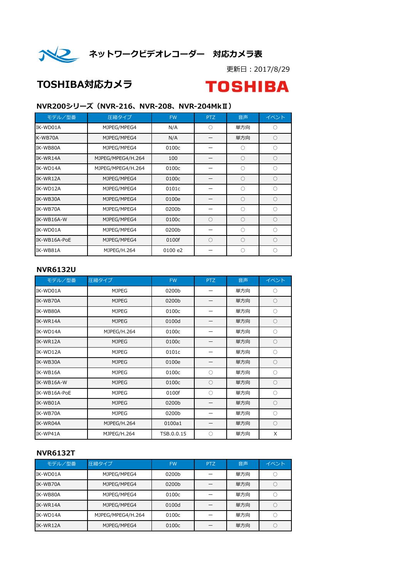

イン ネットワークビデオレコーダー 対応カメラ表

更新日:2017/8/29

## TOSHIBA対応カメラ

# **TOSHIBA**

#### NVR200シリーズ(NVR-216、NVR-208、NVR-204MkⅡ)

| モデル/型番       | 圧縮タイプ             | <b>FW</b> | PTZ | 音声         | イベント       |
|--------------|-------------------|-----------|-----|------------|------------|
| IK-WD01A     | MJPEG/MPEG4       | N/A       | ∩   | 単方向        | О          |
| K-WB70A      | MJPEG/MPEG4       | N/A       |     | 単方向        | $\circ$    |
| IK-WB80A     | MJPEG/MPEG4       | 0100c     |     | O          | $\bigcirc$ |
| IK-WR14A     | MJPEG/MPEG4/H.264 | 100       |     | $\bigcirc$ | $\circ$    |
| IK-WD14A     | MJPEG/MPEG4/H.264 | 0100c     |     | O          | 0          |
| IK-WR12A     | MJPEG/MPEG4       | 0100c     |     | $\bigcirc$ | $\circ$    |
| IK-WD12A     | MJPEG/MPEG4       | 0101c     |     | $\bigcirc$ | $\bigcirc$ |
| IK-WB30A     | MJPEG/MPEG4       | 0100e     |     | O          | O          |
| IK-WB70A     | MJPEG/MPEG4       | 0200b     |     | $\bigcirc$ | $\bigcirc$ |
| IK-WB16A-W   | MJPEG/MPEG4       | 0100c     | ∩   | $\bigcirc$ | $\circ$    |
| IK-WD01A     | MJPEG/MPEG4       | 0200b     |     | ∩          | 0          |
| IK-WB16A-PoE | MJPEG/MPEG4       | 0100f     | ◯   | $\bigcirc$ | $\bigcirc$ |
| IK-WB81A     | MJPEG/H.264       | 0100 e2   |     | O          | O          |

#### NVR6132U

| モデル/型番       | 圧縮タイプ        | <b>FW</b>  | <b>PTZ</b> | 音声  | イベント    |
|--------------|--------------|------------|------------|-----|---------|
| IK-WD01A     | <b>MJPEG</b> | 0200b      |            | 単方向 | $\circ$ |
| IK-WB70A     | <b>MJPEG</b> | 0200b      |            | 単方向 | $\circ$ |
| IK-WB80A     | <b>MJPEG</b> | 0100c      | —          | 単方向 | $\circ$ |
| IK-WR14A     | <b>MJPEG</b> | 0100d      |            | 単方向 | $\circ$ |
| IK-WD14A     | MJPEG/H.264  | 0100c      |            | 単方向 | $\circ$ |
| IK-WR12A     | <b>MJPEG</b> | 0100c      |            | 単方向 | $\circ$ |
| IK-WD12A     | <b>MJPEG</b> | 0101c      |            | 単方向 | $\circ$ |
| IK-WB30A     | <b>MJPEG</b> | 0100e      |            | 単方向 | $\circ$ |
| IK-WB16A     | <b>MJPEG</b> | 0100c      | $\bigcirc$ | 単方向 | $\circ$ |
| IK-WB16A-W   | <b>MJPEG</b> | 0100c      | $\bigcirc$ | 単方向 | $\circ$ |
| IK-WB16A-PoE | <b>MJPEG</b> | 0100f      | $\bigcirc$ | 単方向 | $\circ$ |
| IK-WB01A     | <b>MJPEG</b> | 0200b      |            | 単方向 | $\circ$ |
| IK-WB70A     | <b>MJPEG</b> | 0200b      |            | 単方向 | $\circ$ |
| IK-WR04A     | MJPEG/H.264  | 0100a1     |            | 単方向 | $\circ$ |
| IK-WP41A     | MJPEG/H.264  | TSB.0.0.15 | $\bigcirc$ | 単方向 | X       |

#### NVR6132T

| モデル/型番   | 圧縮タイプ             | <b>FW</b> | PTZ | 音声  | イベント |
|----------|-------------------|-----------|-----|-----|------|
| IK-WD01A | MJPEG/MPEG4       | 0200b     |     | 単方向 |      |
| IK-WB70A | MJPEG/MPEG4       | 0200b     |     | 単方向 |      |
| IK-WB80A | MJPEG/MPEG4       | 0100c     |     | 単方向 |      |
| IK-WR14A | MJPEG/MPEG4       | 0100d     |     | 単方向 |      |
| IK-WD14A | MJPEG/MPEG4/H.264 | 0100c     |     | 単方向 |      |
| IK-WR12A | MJPEG/MPEG4       | 0100c     |     | 単方向 |      |